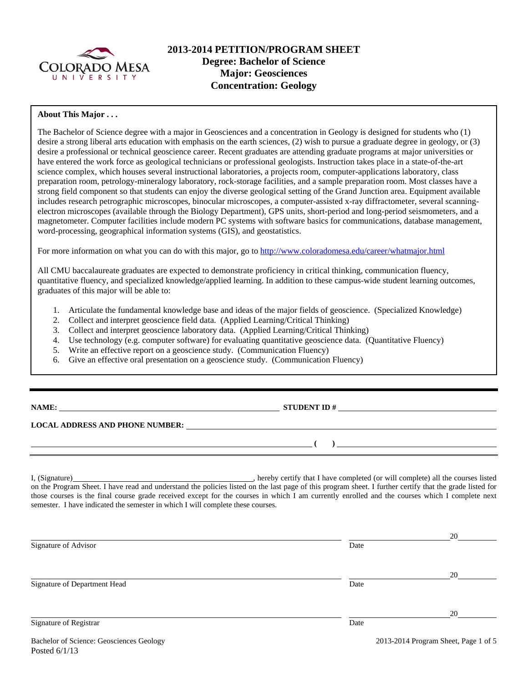

# **2013-2014 PETITION/PROGRAM SHEET Degree: Bachelor of Science Major: Geosciences Concentration: Geology**

### **About This Major . . .**

The Bachelor of Science degree with a major in Geosciences and a concentration in Geology is designed for students who (1) desire a strong liberal arts education with emphasis on the earth sciences, (2) wish to pursue a graduate degree in geology, or (3) desire a professional or technical geoscience career. Recent graduates are attending graduate programs at major universities or have entered the work force as geological technicians or professional geologists. Instruction takes place in a state-of-the-art science complex, which houses several instructional laboratories, a projects room, computer-applications laboratory, class preparation room, petrology-mineralogy laboratory, rock-storage facilities, and a sample preparation room. Most classes have a strong field component so that students can enjoy the diverse geological setting of the Grand Junction area. Equipment available includes research petrographic microscopes, binocular microscopes, a computer-assisted x-ray diffractometer, several scanningelectron microscopes (available through the Biology Department), GPS units, short-period and long-period seismometers, and a magnetometer. Computer facilities include modern PC systems with software basics for communications, database management, word-processing, geographical information systems (GIS), and geostatistics.

For more information on what you can do with this major, go to http://www.coloradomesa.edu/career/whatmajor.html

All CMU baccalaureate graduates are expected to demonstrate proficiency in critical thinking, communication fluency, quantitative fluency, and specialized knowledge/applied learning. In addition to these campus-wide student learning outcomes, graduates of this major will be able to:

- 1. Articulate the fundamental knowledge base and ideas of the major fields of geoscience. (Specialized Knowledge)
- 2. Collect and interpret geoscience field data. (Applied Learning/Critical Thinking)
- 3. Collect and interpret geoscience laboratory data. (Applied Learning/Critical Thinking)
- 4. Use technology (e.g. computer software) for evaluating quantitative geoscience data. (Quantitative Fluency)
- 5. Write an effective report on a geoscience study. (Communication Fluency)
- 6. Give an effective oral presentation on a geoscience study. (Communication Fluency)

| NAMI |
|------|
|------|

**NAME: STUDENT ID #**

 **( )** 

**LOCAL ADDRESS AND PHONE NUMBER:**

I, (Signature) **Source 2008** (Signature) **, hereby certify that I have completed** (or will complete) all the courses listed on the Program Sheet. I have read and understand the policies listed on the last page of this program sheet. I further certify that the grade listed for those courses is the final course grade received except for the courses in which I am currently enrolled and the courses which I complete next semester. I have indicated the semester in which I will complete these courses.

|                              |      | 20 |
|------------------------------|------|----|
| Signature of Advisor         | Date |    |
|                              |      |    |
|                              |      | 20 |
| Signature of Department Head | Date |    |
|                              |      |    |
|                              |      | 20 |
| Signature of Registrar       | Date |    |
|                              |      |    |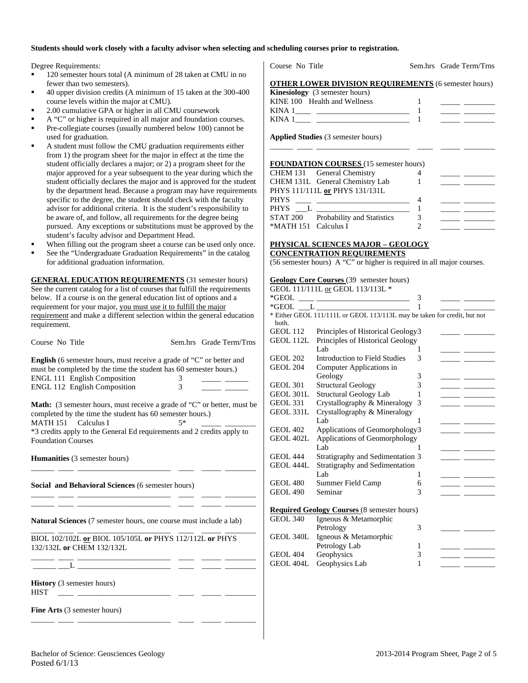#### **Students should work closely with a faculty advisor when selecting and scheduling courses prior to registration.**

Degree Requirements:

- <sup>120</sup> semester hours total (A minimum of 28 taken at CMU in no fewer than two semesters).
- 40 upper division credits (A minimum of 15 taken at the 300-400 course levels within the major at CMU).
- 2.00 cumulative GPA or higher in all CMU coursework
- A "C" or higher is required in all major and foundation courses.
- Pre-collegiate courses (usually numbered below 100) cannot be used for graduation.
- A student must follow the CMU graduation requirements either from 1) the program sheet for the major in effect at the time the student officially declares a major; or 2) a program sheet for the major approved for a year subsequent to the year during which the student officially declares the major and is approved for the student by the department head. Because a program may have requirements specific to the degree, the student should check with the faculty advisor for additional criteria. It is the student's responsibility to be aware of, and follow, all requirements for the degree being pursued. Any exceptions or substitutions must be approved by the student's faculty advisor and Department Head.
- When filling out the program sheet a course can be used only once.
- See the "Undergraduate Graduation Requirements" in the catalog for additional graduation information.

**GENERAL EDUCATION REQUIREMENTS** (31 semester hours) See the current catalog for a list of courses that fulfill the requirements below. If a course is on the general education list of options and a requirement for your major, you must use it to fulfill the major requirement and make a different selection within the general education requirement.

| Course No Title                     |                                                                                                                                                  |   | Sem.hrs Grade Term/Trns |
|-------------------------------------|--------------------------------------------------------------------------------------------------------------------------------------------------|---|-------------------------|
|                                     | <b>English</b> (6 semester hours, must receive a grade of "C" or better and<br>must be completed by the time the student has 60 semester hours.) |   |                         |
| <b>ENGL 111 English Composition</b> |                                                                                                                                                  |   |                         |
| <b>ENGL 112 English Composition</b> |                                                                                                                                                  | 3 |                         |
|                                     |                                                                                                                                                  |   |                         |

**Math:** (3 semester hours, must receive a grade of "C" or better, must be completed by the time the student has 60 semester hours.)<br>MATH 151 Calculus I  $5*$ 

 $MATH 151$  Calculus I \*3 credits apply to the General Ed requirements and 2 credits apply to Foundation Courses

\_\_\_\_\_\_ \_\_\_\_ \_\_\_\_\_\_\_\_\_\_\_\_\_\_\_\_\_\_\_\_\_\_\_\_ \_\_\_\_ \_\_\_\_\_ \_\_\_\_\_\_\_\_

\_\_\_\_\_\_ \_\_\_\_ \_\_\_\_\_\_\_\_\_\_\_\_\_\_\_\_\_\_\_\_\_\_\_\_ \_\_\_\_ \_\_\_\_\_ \_\_\_\_\_\_\_\_ \_\_\_\_\_\_ \_\_\_\_ \_\_\_\_\_\_\_\_\_\_\_\_\_\_\_\_\_\_\_\_\_\_\_\_ \_\_\_\_ \_\_\_\_\_ \_\_\_\_\_\_\_\_

\_\_\_\_\_\_ \_\_\_\_ \_\_\_\_\_\_\_\_\_\_\_\_\_\_\_\_\_\_\_\_\_\_\_\_ \_\_\_\_ \_\_\_\_\_ \_\_\_\_\_\_\_\_

\_\_\_\_\_\_ \_\_\_\_ \_\_\_\_\_\_\_\_\_\_\_\_\_\_\_\_\_\_\_\_\_\_\_\_ \_\_\_\_ \_\_\_\_\_ \_\_\_\_\_\_\_\_

**Humanities** (3 semester hours)

**Social and Behavioral Sciences** (6 semester hours)

**Natural Sciences** (7 semester hours, one course must include a lab)

\_\_\_\_\_\_ \_\_\_\_ \_\_\_\_\_\_\_\_\_\_\_\_\_\_\_\_\_\_\_\_\_\_\_\_ \_\_\_\_ \_\_\_\_\_ \_\_\_\_\_\_\_\_ BIOL 102/102L **or** BIOL 105/105L **or** PHYS 112/112L **or** PHYS 132/132L **or** CHEM 132/132L

\_\_\_\_\_\_ \_\_\_L \_\_\_\_\_\_\_\_\_\_\_\_\_\_\_\_\_\_\_\_\_\_\_\_ \_\_\_\_ \_\_\_\_\_ \_\_\_\_\_\_\_\_

**History** (3 semester hours) HIST \_\_\_\_ \_\_\_\_\_\_\_\_\_\_\_\_\_\_\_\_\_\_\_\_\_\_\_\_ \_\_\_\_ \_\_\_\_\_ \_\_\_\_\_\_\_\_

**Fine Arts** (3 semester hours)

Course No Title Sem.hrs Grade Term/Trns

# **OTHER LOWER DIVISION REQUIREMENTS** (6 semester hours)

| <b>Kinesiology</b> (3 semester hours) |  |
|---------------------------------------|--|
| KINE 100 Health and Wellness          |  |
| KINA                                  |  |
| KINA.                                 |  |

\_\_\_\_\_\_ \_\_\_\_ \_\_\_\_\_\_\_\_\_\_\_\_\_\_\_\_\_\_\_\_\_\_\_\_ \_\_\_\_ \_\_\_\_\_ \_\_\_\_\_\_\_\_

**Applied Studies** (3 semester hours)

#### **FOUNDATION COURSES** (15 semester hours)

|                      | CHEM 131 General Chemistry                                                                                                                                                                                                    |  |
|----------------------|-------------------------------------------------------------------------------------------------------------------------------------------------------------------------------------------------------------------------------|--|
|                      | CHEM 131L General Chemistry Lab                                                                                                                                                                                               |  |
|                      | PHYS 111/111L or PHYS 131/131L                                                                                                                                                                                                |  |
| <b>PHYS</b>          | the control of the control of the control of the control of the control of the control of the control of the control of the control of the control of the control of the control of the control of the control of the control |  |
| <b>PHYS</b>          | and the company of the company of the company of the company of the company of the company of the company of the                                                                                                              |  |
|                      | STAT 200 Probability and Statistics                                                                                                                                                                                           |  |
| *MATH 151 Calculus I |                                                                                                                                                                                                                               |  |

#### **PHYSICAL SCIENCES MAJOR – GEOLOGY CONCENTRATION REQUIREMENTS**

(56 semester hours) A "C" or higher is required in all major courses.

| <b>Geology Core Courses</b> (39 semester hours) |  |
|-------------------------------------------------|--|
| GEOI 111/111I or GEOI 113/113I *                |  |

|                 | 0202 111/1112 <u>01</u> 0202 113/1132                                                                                 |   |  |
|-----------------|-----------------------------------------------------------------------------------------------------------------------|---|--|
| *GEOL           | <u> 1988 - Andrea Barbara, margaret e populazion del control del control del control del control del control del </u> | 3 |  |
|                 | $*GEOL$ $L$                                                                                                           |   |  |
|                 | * Either GEOL 111/111L or GEOL 113/113L may be taken for credit, but not                                              |   |  |
| both.           |                                                                                                                       |   |  |
| GEOL 112        | Principles of Historical Geology3                                                                                     |   |  |
| GEOL 112L       | Principles of Historical Geology                                                                                      |   |  |
|                 | Lab.                                                                                                                  | 1 |  |
| <b>GEOL 202</b> | Introduction to Field Studies                                                                                         | 3 |  |
| <b>GEOL 204</b> | Computer Applications in                                                                                              |   |  |
|                 | Geology                                                                                                               | 3 |  |
| <b>GEOL 301</b> | <b>Structural Geology</b>                                                                                             | 3 |  |
| GEOL 301L       | Structural Geology Lab                                                                                                | 1 |  |
| GEOL 331        | Crystallography & Mineralogy                                                                                          | 3 |  |
| GEOL 331L       | Crystallography & Mineralogy                                                                                          |   |  |
|                 | Lab                                                                                                                   | 1 |  |
| <b>GEOL 402</b> | Applications of Geomorphology3                                                                                        |   |  |
| GEOL 402L       | Applications of Geomorphology                                                                                         |   |  |
|                 | Lab                                                                                                                   |   |  |
| <b>GEOL 444</b> | Stratigraphy and Sedimentation 3                                                                                      |   |  |
| GEOL 444L       | Stratigraphy and Sedimentation                                                                                        |   |  |
|                 | Lab.                                                                                                                  | 1 |  |
| <b>GEOL 480</b> | Summer Field Camp                                                                                                     | 6 |  |
| <b>GEOL 490</b> | Seminar                                                                                                               | 3 |  |
|                 |                                                                                                                       |   |  |
|                 | <b>Required Geology Courses (8 semester hours)</b>                                                                    |   |  |
| <b>GEOL 340</b> | Igneous & Metamorphic                                                                                                 |   |  |
|                 | Petrology                                                                                                             | 3 |  |
| GEOL 340L       | Igneous & Metamorphic                                                                                                 |   |  |
|                 | Petrology Lab                                                                                                         | 1 |  |

GEOL 404 Geophysics 3 GEOL 404L Geophysics Lab 1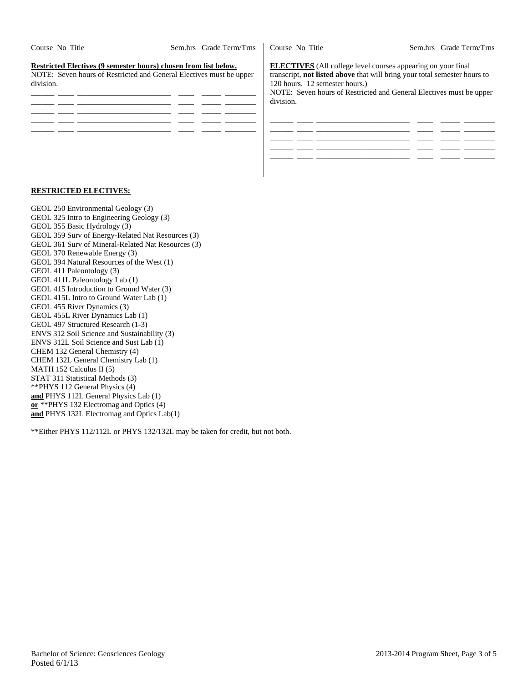| Course No Title                                                                                                                                     | Sem.hrs Grade Term/Trns | Course No Title                             | Sem.hrs Grade Term/Trns                                                                                                                                                                                                 |
|-----------------------------------------------------------------------------------------------------------------------------------------------------|-------------------------|---------------------------------------------|-------------------------------------------------------------------------------------------------------------------------------------------------------------------------------------------------------------------------|
| Restricted Electives (9 semester hours) chosen from list below.<br>NOTE: Seven hours of Restricted and General Electives must be upper<br>division. |                         | 120 hours. 12 semester hours.)<br>division. | <b>ELECTIVES</b> (All college level courses appearing on your final<br>transcript, not listed above that will bring your total semester hours to<br>NOTE: Seven hours of Restricted and General Electives must be upper |
|                                                                                                                                                     |                         |                                             |                                                                                                                                                                                                                         |

\_\_\_\_\_\_ \_\_\_\_ \_\_\_\_\_\_\_\_\_\_\_\_\_\_\_\_\_\_\_\_\_\_\_\_ \_\_\_\_ \_\_\_\_\_ \_\_\_\_\_\_\_\_

#### **RESTRICTED ELECTIVES:**

GEOL 250 Environmental Geology (3) GEOL 325 Intro to Engineering Geology (3) GEOL 355 Basic Hydrology (3) GEOL 359 Surv of Energy-Related Nat Resources (3) GEOL 361 Surv of Mineral-Related Nat Resources (3) GEOL 370 Renewable Energy (3) GEOL 394 Natural Resources of the West (1) GEOL 411 Paleontology (3) GEOL 411L Paleontology Lab (1) GEOL 415 Introduction to Ground Water (3) GEOL 415L Intro to Ground Water Lab (1) GEOL 455 River Dynamics (3) GEOL 455L River Dynamics Lab (1) GEOL 497 Structured Research (1-3) ENVS 312 Soil Science and Sustainability (3) ENVS 312L Soil Science and Sust Lab (1) CHEM 132 General Chemistry (4) CHEM 132L General Chemistry Lab (1) MATH 152 Calculus II (5) STAT 311 Statistical Methods (3) \*\*PHYS 112 General Physics (4) **and** PHYS 112L General Physics Lab (1) **or** \*\*PHYS 132 Electromag and Optics (4) and PHYS 132L Electromag and Optics Lab(1)

\*\*Either PHYS 112/112L or PHYS 132/132L may be taken for credit, but not both.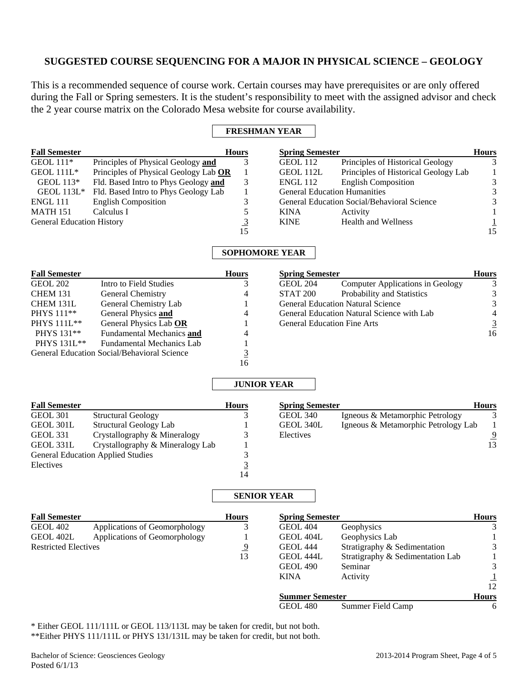# **SUGGESTED COURSE SEQUENCING FOR A MAJOR IN PHYSICAL SCIENCE – GEOLOGY**

This is a recommended sequence of course work. Certain courses may have prerequisites or are only offered during the Fall or Spring semesters. It is the student's responsibility to meet with the assigned advisor and check the 2 year course matrix on the Colorado Mesa website for course availability.

### **FRESHMAN YEAR**

| <b>Fall Semester</b>             |                                       | <b>Hours</b> | <b>Spring Semester</b>              |                                             | <b>Hours</b> |  |  |
|----------------------------------|---------------------------------------|--------------|-------------------------------------|---------------------------------------------|--------------|--|--|
| GEOL $111*$                      | Principles of Physical Geology and    |              | GEOL 112                            | Principles of Historical Geology            | 3            |  |  |
| GEOL $111L^*$                    | Principles of Physical Geology Lab OR |              | GEOL 112L                           | Principles of Historical Geology Lab        |              |  |  |
| GEOL $113*$                      | Fld. Based Intro to Phys Geology and  | 3            | <b>ENGL 112</b>                     | <b>English Composition</b>                  | 3            |  |  |
| GEOL $113L^*$                    | Fld. Based Intro to Phys Geology Lab  |              | <b>General Education Humanities</b> |                                             | 3            |  |  |
| <b>ENGL 111</b>                  | <b>English Composition</b>            | 3            |                                     | General Education Social/Behavioral Science | 3            |  |  |
| <b>MATH 151</b>                  | Calculus I                            |              | <b>KINA</b>                         | Activity                                    |              |  |  |
| <b>General Education History</b> |                                       |              | <b>KINE</b>                         | <b>Health and Wellness</b>                  |              |  |  |
|                                  |                                       | 15           |                                     |                                             | 15           |  |  |
| <b>SOPHOMORE YEAR</b>            |                                       |              |                                     |                                             |              |  |  |
| <b>Fall Semester</b>             |                                       | <b>Hours</b> | <b>Spring Semester</b>              |                                             | <b>Hours</b> |  |  |

| GEOL 202               | Intro to Field Studies                      |    | <b>GEOL 204</b>                    | Computer Applications in Geology           | 3              |
|------------------------|---------------------------------------------|----|------------------------------------|--------------------------------------------|----------------|
| <b>CHEM 131</b>        | General Chemistry                           | 4  | STAT <sub>200</sub>                | Probability and Statistics                 | 3              |
| CHEM 131L              | General Chemistry Lab                       |    |                                    | <b>General Education Natural Science</b>   | 3              |
| PHYS 111 <sup>**</sup> | General Physics and                         | 4  |                                    | General Education Natural Science with Lab | 4              |
| PHYS 111L**            | General Physics Lab OR                      |    | <b>General Education Fine Arts</b> |                                            | $\overline{3}$ |
| PHYS 131**             | Fundamental Mechanics and                   | 4  |                                    |                                            | 16             |
| PHYS 131L**            | <b>Fundamental Mechanics Lab</b>            |    |                                    |                                            |                |
|                        | General Education Social/Behavioral Science |    |                                    |                                            |                |
|                        |                                             | 16 |                                    |                                            |                |

### **JUNIOR YEAR**

| <b>Fall Semester</b> |                                          | <b>Hours</b> | <b>Spring Semester</b> |                                     | <b>Hours</b> |
|----------------------|------------------------------------------|--------------|------------------------|-------------------------------------|--------------|
| GEOL 301             | <b>Structural Geology</b>                |              | GEOL 340               | Igneous & Metamorphic Petrology     |              |
| GEOL 301L            | Structural Geology Lab                   |              | GEOL 340L              | Igneous & Metamorphic Petrology Lab |              |
| <b>GEOL 331</b>      | Crystallography & Mineralogy             |              | Electives              |                                     | 9            |
| GEOL 331L            | Crystallography & Mineralogy Lab         |              |                        |                                     | 13           |
|                      | <b>General Education Applied Studies</b> |              |                        |                                     |              |
| Electives            |                                          |              |                        |                                     |              |
|                      |                                          | 14           |                        |                                     |              |

## **SENIOR YEAR**

| <b>Fall Semester</b>        |                               | <b>Hours</b> | <b>Spring Semester</b> |                                  | <b>Hours</b> |
|-----------------------------|-------------------------------|--------------|------------------------|----------------------------------|--------------|
| <b>GEOL 402</b>             | Applications of Geomorphology | 3            | <b>GEOL 404</b>        | Geophysics                       | 3            |
| GEOL 402L                   | Applications of Geomorphology |              | GEOL 404L              | Geophysics Lab                   |              |
| <b>Restricted Electives</b> |                               | <u>9</u>     | <b>GEOL 444</b>        | Stratigraphy & Sedimentation     | 3            |
|                             |                               | 13           | GEOL 444L              | Stratigraphy & Sedimentation Lab |              |
|                             |                               |              | <b>GEOL 490</b>        | Seminar                          | 3            |
|                             |                               |              | <b>KINA</b>            | Activity                         |              |
|                             |                               |              |                        |                                  | 12           |
|                             |                               |              | <b>Summer Semester</b> |                                  | <b>Hours</b> |
|                             |                               |              | <b>GEOL 480</b>        | Summer Field Camp                | 6            |

\* Either GEOL 111/111L or GEOL 113/113L may be taken for credit, but not both. \*\*Either PHYS 111/111L or PHYS 131/131L may be taken for credit, but not both.